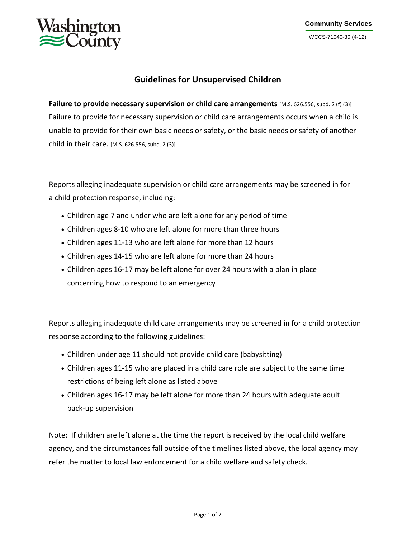

## **Guidelines for Unsupervised Children**

**Failure to provide necessary supervision or child care arrangements** [M.S. 626.556, subd. 2 (f) (3)] Failure to provide for necessary supervision or child care arrangements occurs when a child is unable to provide for their own basic needs or safety, or the basic needs or safety of another child in their care. [M.S. 626.556, subd. 2 (3)]

Reports alleging inadequate supervision or child care arrangements may be screened in for a child protection response, including:

- Children age 7 and under who are left alone for any period of time
- Children ages 8-10 who are left alone for more than three hours
- Children ages 11-13 who are left alone for more than 12 hours
- Children ages 14-15 who are left alone for more than 24 hours
- Children ages 16-17 may be left alone for over 24 hours with a plan in place concerning how to respond to an emergency

Reports alleging inadequate child care arrangements may be screened in for a child protection response according to the following guidelines:

- Children under age 11 should not provide child care (babysitting)
- Children ages 11-15 who are placed in a child care role are subject to the same time restrictions of being left alone as listed above
- Children ages 16-17 may be left alone for more than 24 hours with adequate adult back-up supervision

Note: If children are left alone at the time the report is received by the local child welfare agency, and the circumstances fall outside of the timelines listed above, the local agency may refer the matter to local law enforcement for a child welfare and safety check.